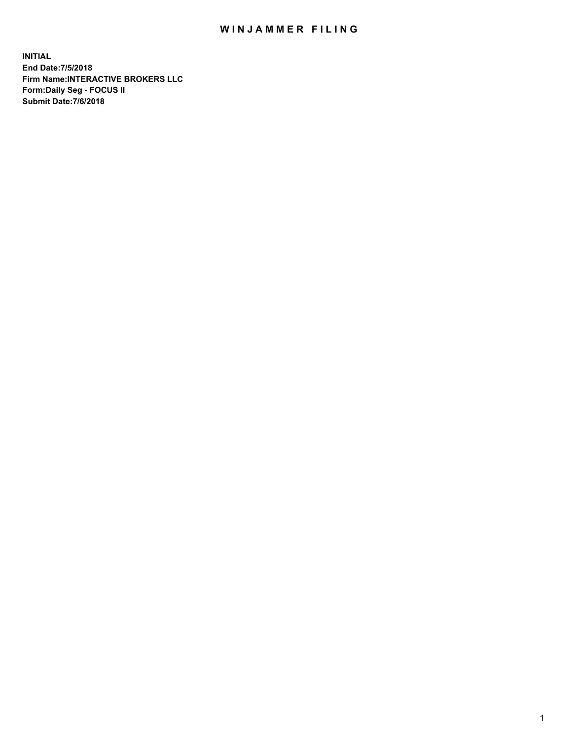## WIN JAMMER FILING

**INITIAL End Date:7/5/2018 Firm Name:INTERACTIVE BROKERS LLC Form:Daily Seg - FOCUS II Submit Date:7/6/2018**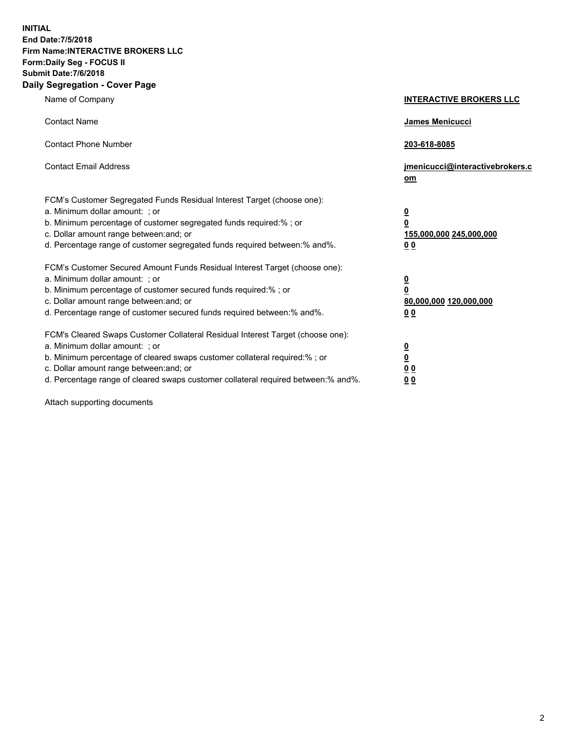**INITIAL End Date:7/5/2018 Firm Name:INTERACTIVE BROKERS LLC Form:Daily Seg - FOCUS II Submit Date:7/6/2018 Daily Segregation - Cover Page**

| Name of Company                                                                                                                                                                                                                                                                                                                | <b>INTERACTIVE BROKERS LLC</b>                                                      |
|--------------------------------------------------------------------------------------------------------------------------------------------------------------------------------------------------------------------------------------------------------------------------------------------------------------------------------|-------------------------------------------------------------------------------------|
| <b>Contact Name</b>                                                                                                                                                                                                                                                                                                            | James Menicucci                                                                     |
| <b>Contact Phone Number</b>                                                                                                                                                                                                                                                                                                    | 203-618-8085                                                                        |
| <b>Contact Email Address</b>                                                                                                                                                                                                                                                                                                   | jmenicucci@interactivebrokers.c<br>om                                               |
| FCM's Customer Segregated Funds Residual Interest Target (choose one):<br>a. Minimum dollar amount: ; or<br>b. Minimum percentage of customer segregated funds required:% ; or<br>c. Dollar amount range between: and; or<br>d. Percentage range of customer segregated funds required between:% and%.                         | $\overline{\mathbf{0}}$<br>$\overline{\mathbf{0}}$<br>155,000,000 245,000,000<br>00 |
| FCM's Customer Secured Amount Funds Residual Interest Target (choose one):<br>a. Minimum dollar amount: ; or<br>b. Minimum percentage of customer secured funds required:% ; or<br>c. Dollar amount range between: and; or<br>d. Percentage range of customer secured funds required between:% and%.                           | $\overline{\mathbf{0}}$<br>$\pmb{0}$<br>80,000,000 120,000,000<br>00                |
| FCM's Cleared Swaps Customer Collateral Residual Interest Target (choose one):<br>a. Minimum dollar amount: ; or<br>b. Minimum percentage of cleared swaps customer collateral required:% ; or<br>c. Dollar amount range between: and; or<br>d. Percentage range of cleared swaps customer collateral required between:% and%. | $\overline{\mathbf{0}}$<br>$\underline{\mathbf{0}}$<br>0 <sub>0</sub><br>00         |

Attach supporting documents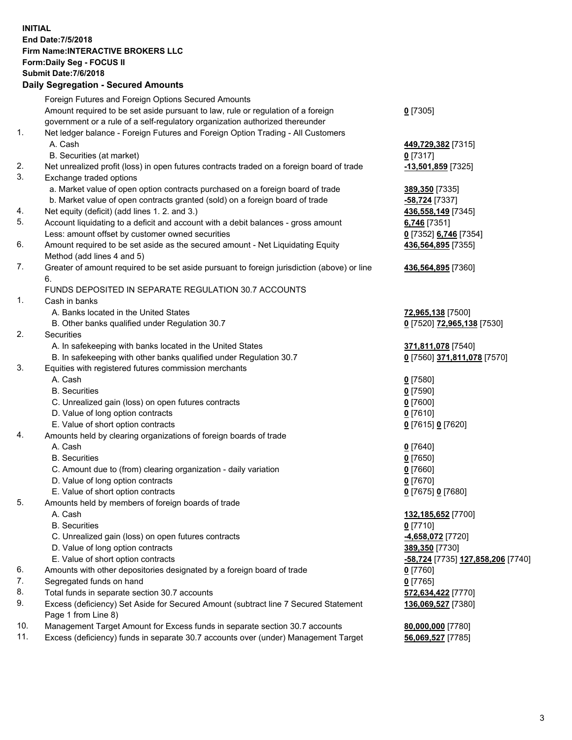## **INITIAL End Date:7/5/2018 Firm Name:INTERACTIVE BROKERS LLC Form:Daily Seg - FOCUS II Submit Date:7/6/2018 Daily Segregation - Secured Amounts**

|     | Daily Jegiegation - Jeculeu Aniounts                                                        |                                                |
|-----|---------------------------------------------------------------------------------------------|------------------------------------------------|
|     | Foreign Futures and Foreign Options Secured Amounts                                         |                                                |
|     | Amount required to be set aside pursuant to law, rule or regulation of a foreign            | $0$ [7305]                                     |
|     | government or a rule of a self-regulatory organization authorized thereunder                |                                                |
| 1.  | Net ledger balance - Foreign Futures and Foreign Option Trading - All Customers             |                                                |
|     | A. Cash                                                                                     | 449,729,382 [7315]                             |
|     | B. Securities (at market)                                                                   | $0$ [7317]                                     |
| 2.  | Net unrealized profit (loss) in open futures contracts traded on a foreign board of trade   | -13,501,859 [7325]                             |
| 3.  | Exchange traded options                                                                     |                                                |
|     | a. Market value of open option contracts purchased on a foreign board of trade              | 389,350 [7335]                                 |
|     | b. Market value of open contracts granted (sold) on a foreign board of trade                | -58,724 [7337]                                 |
| 4.  | Net equity (deficit) (add lines 1. 2. and 3.)                                               | 436,558,149 [7345]                             |
| 5.  | Account liquidating to a deficit and account with a debit balances - gross amount           | 6,746 [7351]                                   |
|     | Less: amount offset by customer owned securities                                            | 0 [7352] 6,746 [7354]                          |
| 6.  | Amount required to be set aside as the secured amount - Net Liquidating Equity              | 436,564,895 [7355]                             |
|     | Method (add lines 4 and 5)                                                                  |                                                |
| 7.  | Greater of amount required to be set aside pursuant to foreign jurisdiction (above) or line | 436,564,895 [7360]                             |
|     | 6.                                                                                          |                                                |
|     | FUNDS DEPOSITED IN SEPARATE REGULATION 30.7 ACCOUNTS                                        |                                                |
| 1.  | Cash in banks                                                                               |                                                |
|     | A. Banks located in the United States                                                       | 72,965,138 [7500]                              |
|     | B. Other banks qualified under Regulation 30.7                                              | 0 [7520] 72,965,138 [7530]                     |
| 2.  | Securities                                                                                  |                                                |
|     | A. In safekeeping with banks located in the United States                                   | 371,811,078 [7540]                             |
|     | B. In safekeeping with other banks qualified under Regulation 30.7                          | 0 [7560] 371,811,078 [7570]                    |
| 3.  | Equities with registered futures commission merchants                                       |                                                |
|     | A. Cash                                                                                     | $0$ [7580]                                     |
|     | <b>B.</b> Securities                                                                        | $0$ [7590]                                     |
|     | C. Unrealized gain (loss) on open futures contracts                                         | $0$ [7600]                                     |
|     | D. Value of long option contracts                                                           | $0$ [7610]                                     |
|     | E. Value of short option contracts                                                          | 0 [7615] 0 [7620]                              |
| 4.  | Amounts held by clearing organizations of foreign boards of trade                           |                                                |
|     | A. Cash                                                                                     | $0$ [7640]                                     |
|     | <b>B.</b> Securities                                                                        | $0$ [7650]                                     |
|     | C. Amount due to (from) clearing organization - daily variation                             | $0$ [7660]                                     |
|     | D. Value of long option contracts                                                           | $0$ [7670]                                     |
|     | E. Value of short option contracts                                                          | 0 [7675] 0 [7680]                              |
| 5.  | Amounts held by members of foreign boards of trade                                          |                                                |
|     | A. Cash                                                                                     | 132,185,652 [7700]                             |
|     | <b>B.</b> Securities                                                                        | $0$ [7710]                                     |
|     | C. Unrealized gain (loss) on open futures contracts                                         | -4,658,072 [7720]                              |
|     | D. Value of long option contracts                                                           | 389,350 [7730]                                 |
| 6.  | E. Value of short option contracts                                                          | <mark>-58,724</mark> [7735] 127,858,206 [7740] |
| 7.  | Amounts with other depositories designated by a foreign board of trade                      | $0$ [7760]                                     |
| 8.  | Segregated funds on hand<br>Total funds in separate section 30.7 accounts                   | $0$ [7765]                                     |
| 9.  | Excess (deficiency) Set Aside for Secured Amount (subtract line 7 Secured Statement         | 572,634,422 [7770]<br>136,069,527 [7380]       |
|     | Page 1 from Line 8)                                                                         |                                                |
| 10. | Management Target Amount for Excess funds in separate section 30.7 accounts                 | 80,000,000 [7780]                              |
| 11. | Excess (deficiency) funds in separate 30.7 accounts over (under) Management Target          | 56,069,527 [7785]                              |
|     |                                                                                             |                                                |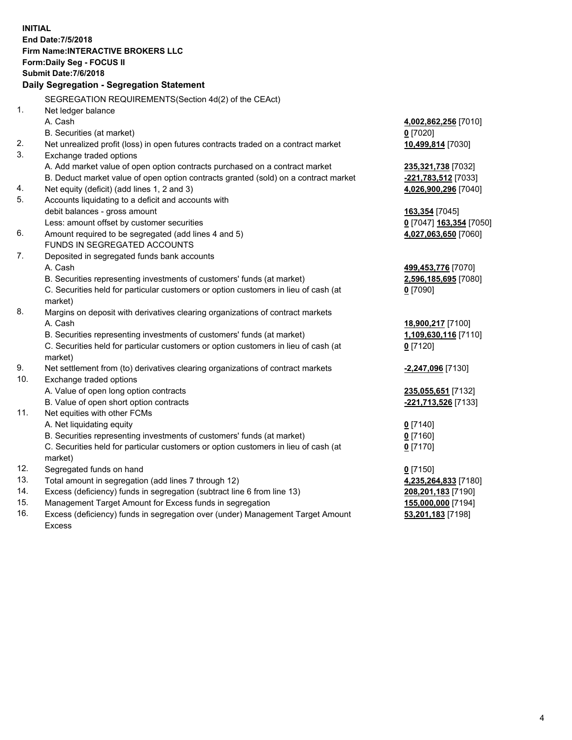**INITIAL End Date:7/5/2018 Firm Name:INTERACTIVE BROKERS LLC Form:Daily Seg - FOCUS II Submit Date:7/6/2018 Daily Segregation - Segregation Statement** SEGREGATION REQUIREMENTS(Section 4d(2) of the CEAct) 1. Net ledger balance A. Cash **4,002,862,256** [7010] B. Securities (at market) **0** [7020] 2. Net unrealized profit (loss) in open futures contracts traded on a contract market **10,499,814** [7030] 3. Exchange traded options A. Add market value of open option contracts purchased on a contract market **235,321,738** [7032] B. Deduct market value of open option contracts granted (sold) on a contract market **-221,783,512** [7033] 4. Net equity (deficit) (add lines 1, 2 and 3) **4,026,900,296** [7040] 5. Accounts liquidating to a deficit and accounts with debit balances - gross amount **163,354** [7045] Less: amount offset by customer securities **0** [7047] **163,354** [7050] 6. Amount required to be segregated (add lines 4 and 5) **4,027,063,650** [7060] FUNDS IN SEGREGATED ACCOUNTS 7. Deposited in segregated funds bank accounts A. Cash **499,453,776** [7070] B. Securities representing investments of customers' funds (at market) **2,596,185,695** [7080] C. Securities held for particular customers or option customers in lieu of cash (at market) **0** [7090] 8. Margins on deposit with derivatives clearing organizations of contract markets A. Cash **18,900,217** [7100] B. Securities representing investments of customers' funds (at market) **1,109,630,116** [7110] C. Securities held for particular customers or option customers in lieu of cash (at market) **0** [7120] 9. Net settlement from (to) derivatives clearing organizations of contract markets **-2,247,096** [7130] 10. Exchange traded options A. Value of open long option contracts **235,055,651** [7132] B. Value of open short option contracts **-221,713,526** [7133] 11. Net equities with other FCMs A. Net liquidating equity **0** [7140] B. Securities representing investments of customers' funds (at market) **0** [7160] C. Securities held for particular customers or option customers in lieu of cash (at market) **0** [7170] 12. Segregated funds on hand **0** [7150] 13. Total amount in segregation (add lines 7 through 12) **4,235,264,833** [7180] 14. Excess (deficiency) funds in segregation (subtract line 6 from line 13) **208,201,183** [7190] 15. Management Target Amount for Excess funds in segregation **155,000,000** [7194] **53,201,183** [7198]

16. Excess (deficiency) funds in segregation over (under) Management Target Amount Excess